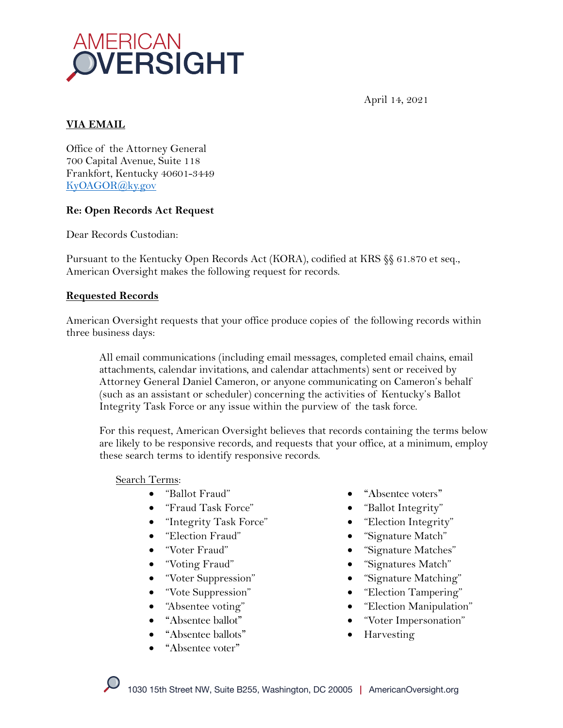

April 14, 2021

# **VIA EMAIL**

Office of the Attorney General 700 Capital Avenue, Suite 118 Frankfort, Kentucky 40601-3449 KyOAGOR@ky.gov

### **Re: Open Records Act Request**

Dear Records Custodian:

Pursuant to the Kentucky Open Records Act (KORA), codified at KRS §§ 61.870 et seq., American Oversight makes the following request for records.

### **Requested Records**

American Oversight requests that your office produce copies of the following records within three business days:

All email communications (including email messages, completed email chains, email attachments, calendar invitations, and calendar attachments) sent or received by Attorney General Daniel Cameron, or anyone communicating on Cameron's behalf (such as an assistant or scheduler) concerning the activities of Kentucky's Ballot Integrity Task Force or any issue within the purview of the task force.

For this request, American Oversight believes that records containing the terms below are likely to be responsive records, and requests that your office, at a minimum, employ these search terms to identify responsive records.

#### Search Terms:

- "Ballot Fraud"
- "Fraud Task Force"
- "Integrity Task Force"
- "Election Fraud"
- "Voter Fraud"
- "Voting Fraud"
- "Voter Suppression"
- "Vote Suppression"
- "Absentee voting"
- "Absentee ballot"
- "Absentee ballots"
- "Absentee voter"
- "Absentee voters"
- "Ballot Integrity"
- "Election Integrity"
- "Signature Match"
- "Signature Matches"
- "Signatures Match"
- "Signature Matching"
- "Election Tampering"
- "Election Manipulation"
- "Voter Impersonation"
- Harvesting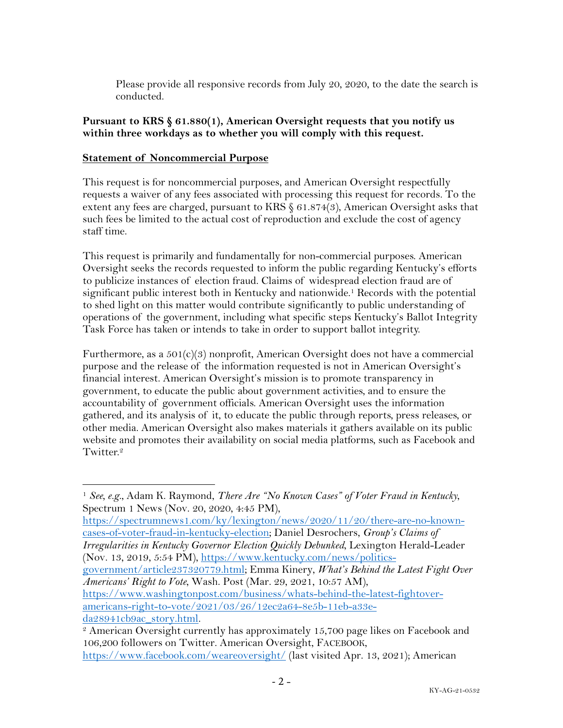Please provide all responsive records from July 20, 2020, to the date the search is conducted.

## **Pursuant to KRS § 61.880(1), American Oversight requests that you notify us within three workdays as to whether you will comply with this request.**

## **Statement of Noncommercial Purpose**

This request is for noncommercial purposes, and American Oversight respectfully requests a waiver of any fees associated with processing this request for records. To the extent any fees are charged, pursuant to KRS § 61.874(3), American Oversight asks that such fees be limited to the actual cost of reproduction and exclude the cost of agency staff time.

This request is primarily and fundamentally for non-commercial purposes. American Oversight seeks the records requested to inform the public regarding Kentucky's efforts to publicize instances of election fraud. Claims of widespread election fraud are of significant public interest both in Kentucky and nationwide.1 Records with the potential to shed light on this matter would contribute significantly to public understanding of operations of the government, including what specific steps Kentucky's Ballot Integrity Task Force has taken or intends to take in order to support ballot integrity.

Furthermore, as a 501(c)(3) nonprofit, American Oversight does not have a commercial purpose and the release of the information requested is not in American Oversight's financial interest. American Oversight's mission is to promote transparency in government, to educate the public about government activities, and to ensure the accountability of government officials. American Oversight uses the information gathered, and its analysis of it, to educate the public through reports, press releases, or other media. American Oversight also makes materials it gathers available on its public website and promotes their availability on social media platforms, such as Facebook and Twitter.<sup>2</sup>

https://spectrumnews1.com/ky/lexington/news/2020/11/20/there-are-no-knowncases-of-voter-fraud-in-kentucky-election; Daniel Desrochers, *Group's Claims of Irregularities in Kentucky Governor Election Quickly Debunked*, Lexington Herald-Leader (Nov. 13, 2019, 5:54 PM), https://www.kentucky.com/news/politics-

government/article237320779.html; Emma Kinery, *What's Behind the Latest Fight Over Americans' Right to Vote*, Wash. Post (Mar. 29, 2021, 10:57 AM),

https://www.washingtonpost.com/business/whats-behind-the-latest-fightoveramericans-right-to-vote/2021/03/26/12ec2a64-8e5b-11eb-a33eda28941cb9ac\_story.html.

<sup>2</sup> American Oversight currently has approximately 15,700 page likes on Facebook and 106,200 followers on Twitter. American Oversight, FACEBOOK, https://www.facebook.com/weareoversight/ (last visited Apr. 13, 2021); American

<sup>1</sup> *See, e.g.*, Adam K. Raymond, *There Are "No Known Cases" of Voter Fraud in Kentucky*, Spectrum 1 News (Nov. 20, 2020, 4:45 PM),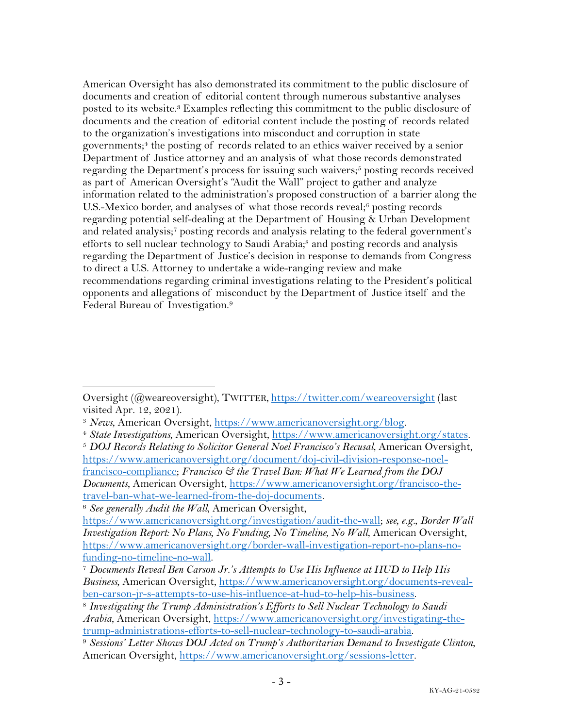American Oversight has also demonstrated its commitment to the public disclosure of documents and creation of editorial content through numerous substantive analyses posted to its website.3 Examples reflecting this commitment to the public disclosure of documents and the creation of editorial content include the posting of records related to the organization's investigations into misconduct and corruption in state governments; <sup>4</sup> the posting of records related to an ethics waiver received by a senior Department of Justice attorney and an analysis of what those records demonstrated regarding the Department's process for issuing such waivers;<sup>5</sup> posting records received as part of American Oversight's "Audit the Wall" project to gather and analyze information related to the administration's proposed construction of a barrier along the U.S.-Mexico border, and analyses of what those records reveal;<sup>6</sup> posting records regarding potential self-dealing at the Department of Housing & Urban Development and related analysis;7 posting records and analysis relating to the federal government's efforts to sell nuclear technology to Saudi Arabia;<sup>8</sup> and posting records and analysis regarding the Department of Justice's decision in response to demands from Congress to direct a U.S. Attorney to undertake a wide-ranging review and make recommendations regarding criminal investigations relating to the President's political opponents and allegations of misconduct by the Department of Justice itself and the Federal Bureau of Investigation.9

Oversight (@weareoversight), TWITTER, https://twitter.com/weareoversight (last visited Apr. 12, 2021).

<sup>3</sup> *News*, American Oversight, https://www.americanoversight.org/blog. 4 *State Investigations*, American Oversight, https://www.americanoversight.org/states.

<sup>5</sup> *DOJ Records Relating to Solicitor General Noel Francisco's Recusal*, American Oversight, https://www.americanoversight.org/document/doj-civil-division-response-noelfrancisco-compliance; *Francisco & the Travel Ban: What We Learned from the DOJ Documents*, American Oversight, https://www.americanoversight.org/francisco-thetravel-ban-what-we-learned-from-the-doj-documents.

<sup>6</sup> *See generally Audit the Wall*, American Oversight,

https://www.americanoversight.org/investigation/audit-the-wall; *see, e.g.*, *Border Wall Investigation Report: No Plans, No Funding, No Timeline, No Wall*, American Oversight, https://www.americanoversight.org/border-wall-investigation-report-no-plans-no-

funding-no-timeline-no-wall. 7 *Documents Reveal Ben Carson Jr.'s Attempts to Use His Influence at HUD to Help His Business*, American Oversight, https://www.americanoversight.org/documents-revealben-carson-jr-s-attempts-to-use-his-influence-at-hud-to-help-his-business. 8 *Investigating the Trump Administration's Efforts to Sell Nuclear Technology to Saudi* 

*Arabia*, American Oversight, https://www.americanoversight.org/investigating-thetrump-administrations-efforts-to-sell-nuclear-technology-to-saudi-arabia. 9 *Sessions' Letter Shows DOJ Acted on Trump's Authoritarian Demand to Investigate Clinton*,

American Oversight, https://www.americanoversight.org/sessions-letter.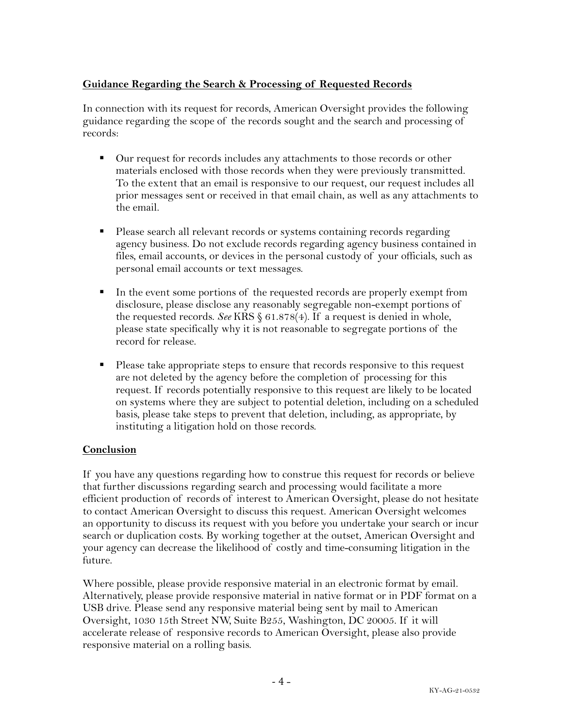# **Guidance Regarding the Search & Processing of Requested Records**

In connection with its request for records, American Oversight provides the following guidance regarding the scope of the records sought and the search and processing of records:

- Our request for records includes any attachments to those records or other materials enclosed with those records when they were previously transmitted. To the extent that an email is responsive to our request, our request includes all prior messages sent or received in that email chain, as well as any attachments to the email.
- Please search all relevant records or systems containing records regarding agency business. Do not exclude records regarding agency business contained in files, email accounts, or devices in the personal custody of your officials, such as personal email accounts or text messages.
- In the event some portions of the requested records are properly exempt from disclosure, please disclose any reasonably segregable non-exempt portions of the requested records. *See* KRS § 61.878(4). If a request is denied in whole, please state specifically why it is not reasonable to segregate portions of the record for release.
- Please take appropriate steps to ensure that records responsive to this request are not deleted by the agency before the completion of processing for this request. If records potentially responsive to this request are likely to be located on systems where they are subject to potential deletion, including on a scheduled basis, please take steps to prevent that deletion, including, as appropriate, by instituting a litigation hold on those records.

# **Conclusion**

If you have any questions regarding how to construe this request for records or believe that further discussions regarding search and processing would facilitate a more efficient production of records of interest to American Oversight, please do not hesitate to contact American Oversight to discuss this request. American Oversight welcomes an opportunity to discuss its request with you before you undertake your search or incur search or duplication costs. By working together at the outset, American Oversight and your agency can decrease the likelihood of costly and time-consuming litigation in the future.

Where possible, please provide responsive material in an electronic format by email. Alternatively, please provide responsive material in native format or in PDF format on a USB drive. Please send any responsive material being sent by mail to American Oversight, 1030 15th Street NW, Suite B255, Washington, DC 20005. If it will accelerate release of responsive records to American Oversight, please also provide responsive material on a rolling basis.